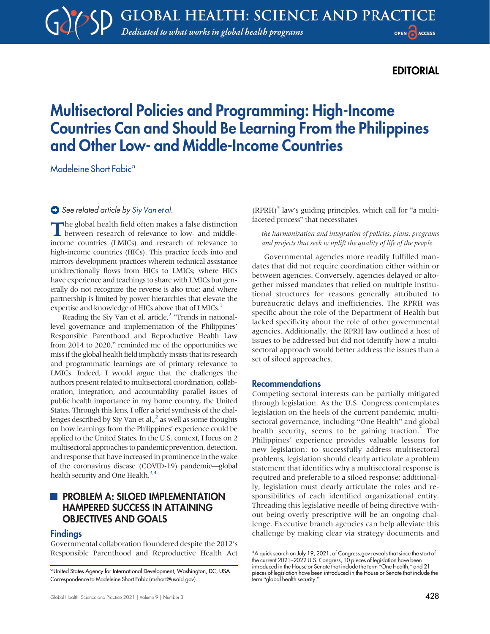## EDITORIAL

# Multisectoral Policies and Programming: High-Income Countries Can and Should Be Learning From the Philippines and Other Low- and Middle-Income Countries

Madeleine Short Fabic<sup>a</sup>

#### See related article by [Siy Van et al.](https://doi.org/10.9745/GHSP-D-21-00184)

The global health field often makes a false distinction<br>between research of relevance to low- and middleincome countries (LMICs) and research of relevance to high-income countries (HICs). This practice feeds into and mirrors development practices wherein technical assistance unidirectionally flows from HICs to LMICs; where HICs have experience and teachings to share with LMICs but generally do not recognize the reverse is also true; and where partnership is limited by power hierarchies that elevate the expertise and knowledge of HICs above that of LMICs.<sup>[1](#page-2-0)</sup>

Reading the Siy Van et al. article, $2$  "Trends in nationallevel governance and implementation of the Philippines' Responsible Parenthood and Reproductive Health Law from 2014 to 2020," reminded me of the opportunities we miss if the global health field implicitly insists that its research and programmatic learnings are of primary relevance to LMICs. Indeed, I would argue that the challenges the authors present related to multisectoral coordination, collaboration, integration, and accountability parallel issues of public health importance in my home country, the United States. Through this lens, I offer a brief synthesis of the challenges described by Siy Van et al., $<sup>2</sup>$  as well as some thoughts</sup> on how learnings from the Philippines' experience could be applied to the United States. In the U.S. context, I focus on 2 multisectoral approaches to pandemic prevention, detection, and response that have increased in prominence in the wake of the coronavirus disease (COVID-19) pandemic—global health security and One Health.<sup>3,[4](#page-2-3)</sup>

## **PROBLEM A: SILOED IMPLEMENTATION** HAMPERED SUCCESS IN ATTAINING OBJECTIVES AND GOALS

#### Findings

Governmental collaboration floundered despite the 2012's Responsible Parenthood and Reproductive Health Act

 $(RPRH)<sup>5</sup>$  law's guiding principles, which call for "a multifaceted process" that necessitates

the harmonization and integration of policies, plans, programs and projects that seek to uplift the quality of life of the people.

Governmental agencies more readily fulfilled mandates that did not require coordination either within or between agencies. Conversely, agencies delayed or altogether missed mandates that relied on multiple institutional structures for reasons generally attributed to bureaucratic delays and inefficiencies. The RPRH was specific about the role of the Department of Health but lacked specificity about the role of other governmental agencies. Additionally, the RPRH law outlined a host of issues to be addressed but did not identify how a multisectoral approach would better address the issues than a set of siloed approaches.

#### Recommendations

Competing sectoral interests can be partially mitigated through legislation. As the U.S. Congress contemplates legislation on the heels of the current pandemic, multisectoral governance, including "One Health" and global health security, seems to be gaining traction.<sup>\*</sup> The Philippines' experience provides valuable lessons for new legislation: to successfully address multisectoral problems, legislation should clearly articulate a problem statement that identifies why a multisectoral response is required and preferable to a siloed response; additionally, legislation must clearly articulate the roles and responsibilities of each identified organizational entity. Threading this legislative needle of being directive without being overly prescriptive will be an ongoing challenge. Executive branch agencies can help alleviate this challenge by making clear via strategy documents and

aUnited States Agency for International Development, Washington, DC, USA. Correspondence to Madeleine Short Fabic ([mshort@usaid.gov\)](mailto:mshort@usaid.gov).

<sup>\*</sup>A quick search on July 19, 2021, of Congress.gov reveals that since the start of the current 2021–2022 U.S. Congress, 10 pieces of legislation have been introduced in the House or Senate that include the term "One Health," and 21 pieces of legislation have been introduced in the House or Senate that include the term "global health security."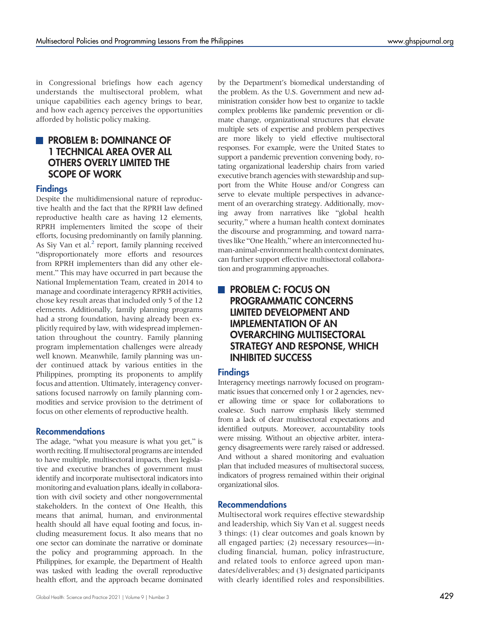in Congressional briefings how each agency understands the multisectoral problem, what unique capabilities each agency brings to bear, and how each agency perceives the opportunities afforded by holistic policy making.

## **PROBLEM B: DOMINANCE OF** 1 TECHNICAL AREA OVER ALL OTHERS OVERLY LIMITED THE SCOPE OF WORK

## **Findings**

Despite the multidimensional nature of reproductive health and the fact that the RPRH law defined reproductive health care as having 12 elements, RPRH implementers limited the scope of their efforts, focusing predominantly on family planning. As Siy Van et al. $<sup>2</sup>$  report, family planning received</sup> "disproportionately more efforts and resources from RPRH implementers than did any other element." This may have occurred in part because the National Implementation Team, created in 2014 to manage and coordinate interagency RPRH activities, chose key result areas that included only 5 of the 12 elements. Additionally, family planning programs had a strong foundation, having already been explicitly required by law, with widespread implementation throughout the country. Family planning program implementation challenges were already well known. Meanwhile, family planning was under continued attack by various entities in the Philippines, prompting its proponents to amplify focus and attention. Ultimately, interagency conversations focused narrowly on family planning commodities and service provision to the detriment of focus on other elements of reproductive health.

#### Recommendations

The adage, "what you measure is what you get," is worth reciting. If multisectoral programs are intended to have multiple, multisectoral impacts, then legislative and executive branches of government must identify and incorporate multisectoral indicators into monitoring and evaluation plans, ideally in collaboration with civil society and other nongovernmental stakeholders. In the context of One Health, this means that animal, human, and environmental health should all have equal footing and focus, including measurement focus. It also means that no one sector can dominate the narrative or dominate the policy and programming approach. In the Philippines, for example, the Department of Health was tasked with leading the overall reproductive health effort, and the approach became dominated by the Department's biomedical understanding of the problem. As the U.S. Government and new administration consider how best to organize to tackle complex problems like pandemic prevention or climate change, organizational structures that elevate multiple sets of expertise and problem perspectives are more likely to yield effective multisectoral responses. For example, were the United States to support a pandemic prevention convening body, rotating organizational leadership chairs from varied executive branch agencies with stewardship and support from the White House and/or Congress can serve to elevate multiple perspectives in advancement of an overarching strategy. Additionally, moving away from narratives like "global health security," where a human health context dominates the discourse and programming, and toward narratives like "One Health," where an interconnected human-animal-environment health context dominates, can further support effective multisectoral collaboration and programming approaches.

## **PROBLEM C: FOCUS ON** PROGRAMMATIC CONCERNS LIMITED DEVELOPMENT AND IMPLEMENTATION OF AN OVERARCHING MULTISECTORAL STRATEGY AND RESPONSE, WHICH INHIBITED SUCCESS

## Findings

Interagency meetings narrowly focused on programmatic issues that concerned only 1 or 2 agencies, never allowing time or space for collaborations to coalesce. Such narrow emphasis likely stemmed from a lack of clear multisectoral expectations and identified outputs. Moreover, accountability tools were missing. Without an objective arbiter, interagency disagreements were rarely raised or addressed. And without a shared monitoring and evaluation plan that included measures of multisectoral success, indicators of progress remained within their original organizational silos.

#### Recommendations

Multisectoral work requires effective stewardship and leadership, which Siy Van et al. suggest needs 3 things: (1) clear outcomes and goals known by all engaged parties; (2) necessary resources—including financial, human, policy infrastructure, and related tools to enforce agreed upon mandates/deliverables; and (3) designated participants with clearly identified roles and responsibilities.